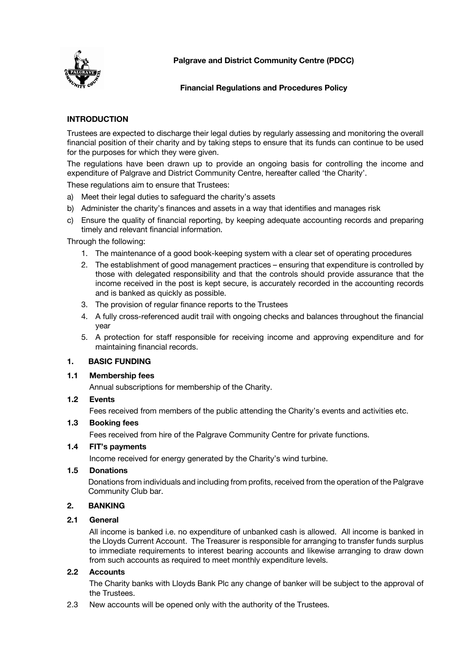

**Palgrave and District Community Centre (PDCC)**

# **Financial Regulations and Procedures Policy**

# **INTRODUCTION**

Trustees are expected to discharge their legal duties by regularly assessing and monitoring the overall financial position of their charity and by taking steps to ensure that its funds can continue to be used for the purposes for which they were given.

The regulations have been drawn up to provide an ongoing basis for controlling the income and expenditure of Palgrave and District Community Centre, hereafter called 'the Charity'.

These regulations aim to ensure that Trustees:

- a) Meet their legal duties to safeguard the charity's assets
- b) Administer the charity's finances and assets in a way that identifies and manages risk
- c) Ensure the quality of financial reporting, by keeping adequate accounting records and preparing timely and relevant financial information.

Through the following:

- 1. The maintenance of a good book-keeping system with a clear set of operating procedures
- 2. The establishment of good management practices ensuring that expenditure is controlled by those with delegated responsibility and that the controls should provide assurance that the income received in the post is kept secure, is accurately recorded in the accounting records and is banked as quickly as possible.
- 3. The provision of regular finance reports to the Trustees
- 4. A fully cross-referenced audit trail with ongoing checks and balances throughout the financial year
- 5. A protection for staff responsible for receiving income and approving expenditure and for maintaining financial records.

# **1. BASIC FUNDING**

### **1.1 Membership fees**

Annual subscriptions for membership of the Charity.

### **1.2 Events**

Fees received from members of the public attending the Charity's events and activities etc.

### **1.3 Booking fees**

Fees received from hire of the Palgrave Community Centre for private functions.

### **1.4 FIT's payments**

Income received for energy generated by the Charity's wind turbine.

### **1.5 Donations**

Donations from individuals and including from profits, received from the operation of the Palgrave Community Club bar.

### **2. BANKING**

# **2.1 General**

All income is banked i.e. no expenditure of unbanked cash is allowed. All income is banked in the Lloyds Current Account. The Treasurer is responsible for arranging to transfer funds surplus to immediate requirements to interest bearing accounts and likewise arranging to draw down from such accounts as required to meet monthly expenditure levels.

### **2.2 Accounts**

The Charity banks with Lloyds Bank Plc any change of banker will be subject to the approval of the Trustees.

2.3 New accounts will be opened only with the authority of the Trustees.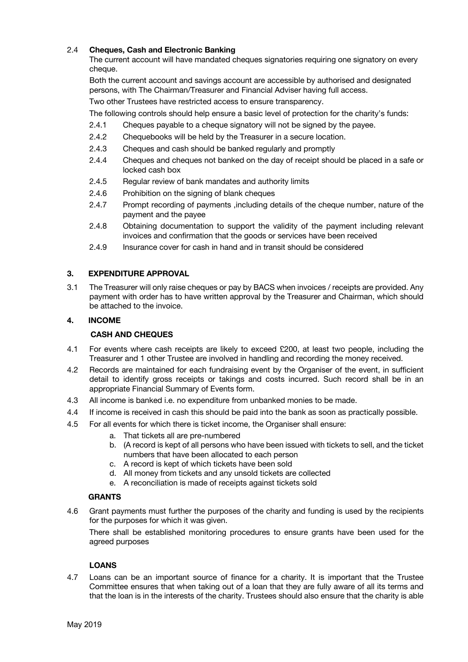# 2.4 **Cheques, Cash and Electronic Banking**

The current account will have mandated cheques signatories requiring one signatory on every cheque.

Both the current account and savings account are accessible by authorised and designated persons, with The Chairman/Treasurer and Financial Adviser having full access.

Two other Trustees have restricted access to ensure transparency.

The following controls should help ensure a basic level of protection for the charity's funds:

- 2.4.1 Cheques payable to a cheque signatory will not be signed by the payee.
- 2.4.2 Chequebooks will be held by the Treasurer in a secure location.
- 2.4.3 Cheques and cash should be banked regularly and promptly
- 2.4.4 Cheques and cheques not banked on the day of receipt should be placed in a safe or locked cash box
- 2.4.5 Regular review of bank mandates and authority limits
- 2.4.6 Prohibition on the signing of blank cheques
- 2.4.7 Prompt recording of payments ,including details of the cheque number, nature of the payment and the payee
- 2.4.8 Obtaining documentation to support the validity of the payment including relevant invoices and confirmation that the goods or services have been received
- 2.4.9 Insurance cover for cash in hand and in transit should be considered

#### **3. EXPENDITURE APPROVAL**

3.1 The Treasurer will only raise cheques or pay by BACS when invoices / receipts are provided. Any payment with order has to have written approval by the Treasurer and Chairman, which should be attached to the invoice.

#### **4. INCOME**

#### **CASH AND CHEQUES**

- 4.1 For events where cash receipts are likely to exceed £200, at least two people, including the Treasurer and 1 other Trustee are involved in handling and recording the money received.
- 4.2 Records are maintained for each fundraising event by the Organiser of the event, in sufficient detail to identify gross receipts or takings and costs incurred. Such record shall be in an appropriate Financial Summary of Events form.
- 4.3 All income is banked i.e. no expenditure from unbanked monies to be made.
- 4.4 If income is received in cash this should be paid into the bank as soon as practically possible.
- 4.5 For all events for which there is ticket income, the Organiser shall ensure:
	- a. That tickets all are pre-numbered
	- b. (A record is kept of all persons who have been issued with tickets to sell, and the ticket numbers that have been allocated to each person
	- c. A record is kept of which tickets have been sold
	- d. All money from tickets and any unsold tickets are collected
	- e. A reconciliation is made of receipts against tickets sold

### **GRANTS**

4.6 Grant payments must further the purposes of the charity and funding is used by the recipients for the purposes for which it was given.

There shall be established monitoring procedures to ensure grants have been used for the agreed purposes

### **LOANS**

4.7 Loans can be an important source of finance for a charity. It is important that the Trustee Committee ensures that when taking out of a loan that they are fully aware of all its terms and that the loan is in the interests of the charity. Trustees should also ensure that the charity is able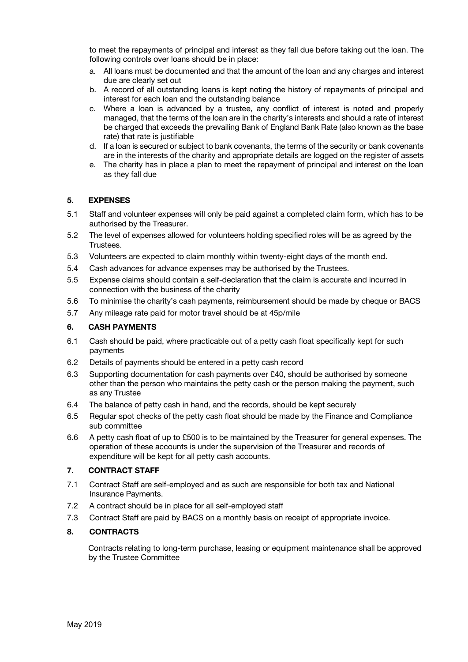to meet the repayments of principal and interest as they fall due before taking out the loan. The following controls over loans should be in place:

- a. All loans must be documented and that the amount of the loan and any charges and interest due are clearly set out
- b. A record of all outstanding loans is kept noting the history of repayments of principal and interest for each loan and the outstanding balance
- c. Where a loan is advanced by a trustee, any conflict of interest is noted and properly managed, that the terms of the loan are in the charity's interests and should a rate of interest be charged that exceeds the prevailing Bank of England Bank Rate (also known as the base rate) that rate is justifiable
- d. If a loan is secured or subject to bank covenants, the terms of the security or bank covenants are in the interests of the charity and appropriate details are logged on the register of assets
- e. The charity has in place a plan to meet the repayment of principal and interest on the loan as they fall due

### **5. EXPENSES**

- 5.1 Staff and volunteer expenses will only be paid against a completed claim form, which has to be authorised by the Treasurer.
- 5.2 The level of expenses allowed for volunteers holding specified roles will be as agreed by the Trustees.
- 5.3 Volunteers are expected to claim monthly within twenty-eight days of the month end.
- 5.4 Cash advances for advance expenses may be authorised by the Trustees.
- 5.5 Expense claims should contain a self-declaration that the claim is accurate and incurred in connection with the business of the charity
- 5.6 To minimise the charity's cash payments, reimbursement should be made by cheque or BACS
- 5.7 Any mileage rate paid for motor travel should be at 45p/mile

#### **6. CASH PAYMENTS**

- 6.1 Cash should be paid, where practicable out of a petty cash float specifically kept for such payments
- 6.2 Details of payments should be entered in a petty cash record
- 6.3 Supporting documentation for cash payments over £40, should be authorised by someone other than the person who maintains the petty cash or the person making the payment, such as any Trustee
- 6.4 The balance of petty cash in hand, and the records, should be kept securely
- 6.5 Regular spot checks of the petty cash float should be made by the Finance and Compliance sub committee
- 6.6 A petty cash float of up to £500 is to be maintained by the Treasurer for general expenses. The operation of these accounts is under the supervision of the Treasurer and records of expenditure will be kept for all petty cash accounts.

### **7. CONTRACT STAFF**

- 7.1 Contract Staff are self-employed and as such are responsible for both tax and National Insurance Payments.
- 7.2 A contract should be in place for all self-employed staff
- 7.3 Contract Staff are paid by BACS on a monthly basis on receipt of appropriate invoice.

### **8. CONTRACTS**

Contracts relating to long-term purchase, leasing or equipment maintenance shall be approved by the Trustee Committee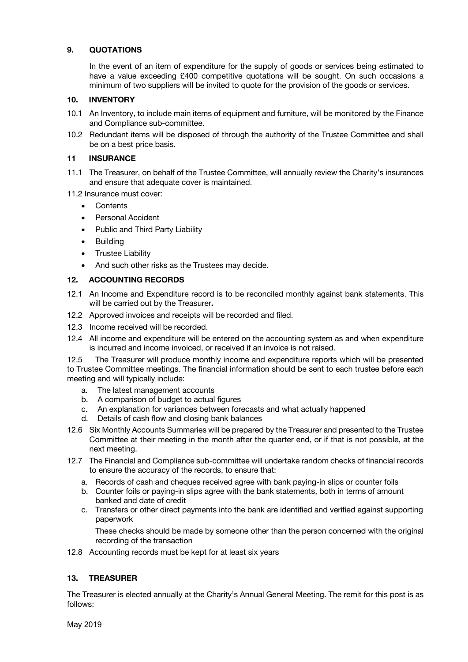### **9. QUOTATIONS**

In the event of an item of expenditure for the supply of goods or services being estimated to have a value exceeding £400 competitive quotations will be sought. On such occasions a minimum of two suppliers will be invited to quote for the provision of the goods or services.

### **10. INVENTORY**

- 10.1 An Inventory, to include main items of equipment and furniture, will be monitored by the Finance and Compliance sub-committee.
- 10.2 Redundant items will be disposed of through the authority of the Trustee Committee and shall be on a best price basis.

#### **11 INSURANCE**

11.1 The Treasurer, on behalf of the Trustee Committee, will annually review the Charity's insurances and ensure that adequate cover is maintained.

11.2 Insurance must cover:

- Contents
- Personal Accident
- Public and Third Party Liability
- Building
- Trustee Liability
- And such other risks as the Trustees may decide.

### **12. ACCOUNTING RECORDS**

- 12.1 An Income and Expenditure record is to be reconciled monthly against bank statements. This will be carried out by the Treasurer**.**
- 12.2 Approved invoices and receipts will be recorded and filed.
- 12.3 Income received will be recorded.
- 12.4 All income and expenditure will be entered on the accounting system as and when expenditure is incurred and income invoiced, or received if an invoice is not raised.

12.5 The Treasurer will produce monthly income and expenditure reports which will be presented to Trustee Committee meetings. The financial information should be sent to each trustee before each meeting and will typically include:

- a. The latest management accounts
- b. A comparison of budget to actual figures
- c. An explanation for variances between forecasts and what actually happened
- d. Details of cash flow and closing bank balances
- 12.6 Six Monthly Accounts Summaries will be prepared by the Treasurer and presented to the Trustee Committee at their meeting in the month after the quarter end, or if that is not possible, at the next meeting.
- 12.7 The Financial and Compliance sub-committee will undertake random checks of financial records to ensure the accuracy of the records, to ensure that:
	- a. Records of cash and cheques received agree with bank paying-in slips or counter foils
	- b. Counter foils or paying-in slips agree with the bank statements, both in terms of amount banked and date of credit
	- c. Transfers or other direct payments into the bank are identified and verified against supporting paperwork

These checks should be made by someone other than the person concerned with the original recording of the transaction

12.8 Accounting records must be kept for at least six years

### **13. TREASURER**

The Treasurer is elected annually at the Charity's Annual General Meeting. The remit for this post is as follows: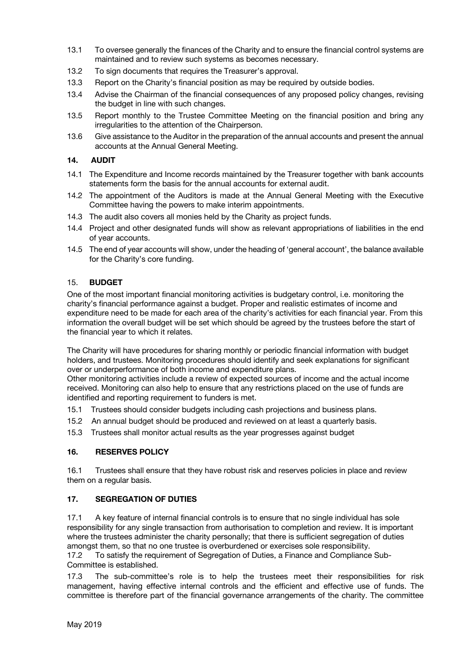- 13.1 To oversee generally the finances of the Charity and to ensure the financial control systems are maintained and to review such systems as becomes necessary.
- 13.2 To sign documents that requires the Treasurer's approval.
- 13.3 Report on the Charity's financial position as may be required by outside bodies.
- 13.4 Advise the Chairman of the financial consequences of any proposed policy changes, revising the budget in line with such changes.
- 13.5 Report monthly to the Trustee Committee Meeting on the financial position and bring any irregularities to the attention of the Chairperson.
- 13.6 Give assistance to the Auditor in the preparation of the annual accounts and present the annual accounts at the Annual General Meeting.

# **14. AUDIT**

- 14.1 The Expenditure and Income records maintained by the Treasurer together with bank accounts statements form the basis for the annual accounts for external audit.
- 14.2 The appointment of the Auditors is made at the Annual General Meeting with the Executive Committee having the powers to make interim appointments.
- 14.3 The audit also covers all monies held by the Charity as project funds.
- 14.4 Project and other designated funds will show as relevant appropriations of liabilities in the end of year accounts.
- 14.5 The end of year accounts will show, under the heading of 'general account', the balance available for the Charity's core funding.

# 15. **BUDGET**

One of the most important financial monitoring activities is budgetary control, i.e. monitoring the charity's financial performance against a budget. Proper and realistic estimates of income and expenditure need to be made for each area of the charity's activities for each financial year. From this information the overall budget will be set which should be agreed by the trustees before the start of the financial year to which it relates.

The Charity will have procedures for sharing monthly or periodic financial information with budget holders, and trustees. Monitoring procedures should identify and seek explanations for significant over or underperformance of both income and expenditure plans.

Other monitoring activities include a review of expected sources of income and the actual income received. Monitoring can also help to ensure that any restrictions placed on the use of funds are identified and reporting requirement to funders is met.

15.1 Trustees should consider budgets including cash projections and business plans.

- 15.2 An annual budget should be produced and reviewed on at least a quarterly basis.
- 15.3 Trustees shall monitor actual results as the year progresses against budget

### **16. RESERVES POLICY**

16.1 Trustees shall ensure that they have robust risk and reserves policies in place and review them on a regular basis.

### **17. SEGREGATION OF DUTIES**

17.1 A key feature of internal financial controls is to ensure that no single individual has sole responsibility for any single transaction from authorisation to completion and review. It is important where the trustees administer the charity personally; that there is sufficient segregation of duties amongst them, so that no one trustee is overburdened or exercises sole responsibility.

17.2 To satisfy the requirement of Segregation of Duties, a Finance and Compliance Sub-Committee is established.

17.3 The sub-committee's role is to help the trustees meet their responsibilities for risk management, having effective internal controls and the efficient and effective use of funds. The committee is therefore part of the financial governance arrangements of the charity. The committee